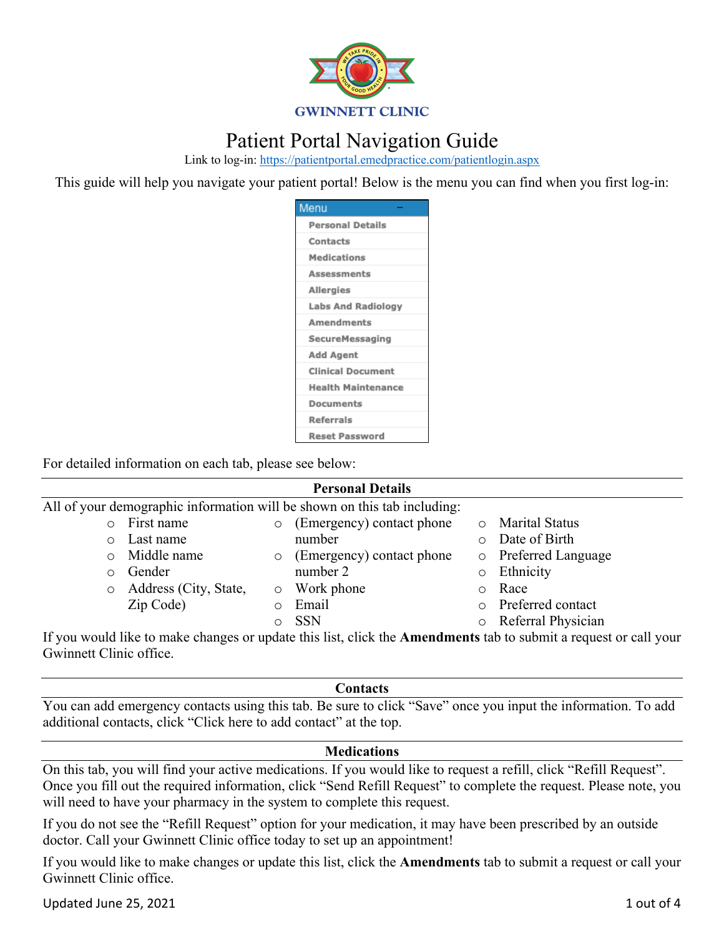

# Patient Portal Navigation Guide

Link to log-in: https://patientportal.emedpractice.com/patientlogin.aspx

This guide will help you navigate your patient portal! Below is the menu you can find when you first log-in:

| Menu                      |
|---------------------------|
| <b>Personal Details</b>   |
| Contacts                  |
| <b>Medications</b>        |
| Assessments               |
| Allergies                 |
| <b>Labs And Radiology</b> |
| Amendments                |
| SecureMessaging           |
| Add Agent                 |
| <b>Clinical Document</b>  |
| <b>Health Maintenance</b> |
| Documents                 |
| <b>Referrals</b>          |
| <b>Reset Password</b>     |

For detailed information on each tab, please see below:

| <b>Personal Details</b>                                                  |                       |         |                           |   |                      |  |
|--------------------------------------------------------------------------|-----------------------|---------|---------------------------|---|----------------------|--|
| All of your demographic information will be shown on this tab including: |                       |         |                           |   |                      |  |
| $\circ$                                                                  | First name            | $\circ$ | (Emergency) contact phone |   | o Marital Status     |  |
| $\circ$                                                                  | Last name             |         | number                    |   | Date of Birth        |  |
| $\circ$                                                                  | Middle name           | $\circ$ | (Emergency) contact phone |   | o Preferred Language |  |
| ∩                                                                        | Gender                |         | number 2                  |   | Ethnicity            |  |
| $\circ$                                                                  | Address (City, State, |         | o Work phone              | O | Race                 |  |
|                                                                          | Zip Code)             | $\circ$ | Email                     |   | o Preferred contact  |  |
|                                                                          |                       |         | <b>SSN</b>                |   | Referral Physician   |  |

If you would like to make changes or update this list, click the **Amendments** tab to submit a request or call your Gwinnett Clinic office.

#### **Contacts**

You can add emergency contacts using this tab. Be sure to click "Save" once you input the information. To add additional contacts, click "Click here to add contact" at the top.

# **Medications**

On this tab, you will find your active medications. If you would like to request a refill, click "Refill Request". Once you fill out the required information, click "Send Refill Request" to complete the request. Please note, you will need to have your pharmacy in the system to complete this request.

If you do not see the "Refill Request" option for your medication, it may have been prescribed by an outside doctor. Call your Gwinnett Clinic office today to set up an appointment!

If you would like to make changes or update this list, click the **Amendments** tab to submit a request or call your Gwinnett Clinic office.

Updated June 25, 2021 1 out of 4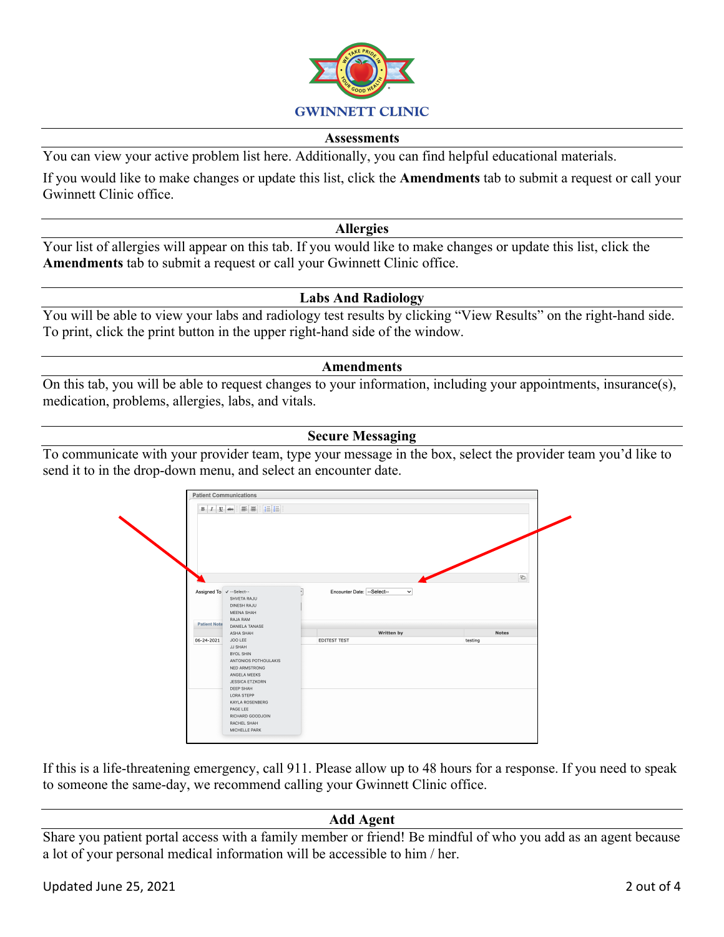

#### **Assessments**

You can view your active problem list here. Additionally, you can find helpful educational materials.

If you would like to make changes or update this list, click the **Amendments** tab to submit a request or call your Gwinnett Clinic office.

#### **Allergies**

Your list of allergies will appear on this tab. If you would like to make changes or update this list, click the **Amendments** tab to submit a request or call your Gwinnett Clinic office.

### **Labs And Radiology**

You will be able to view your labs and radiology test results by clicking "View Results" on the right-hand side. To print, click the print button in the upper right-hand side of the window.

#### **Amendments**

On this tab, you will be able to request changes to your information, including your appointments, insurance(s), medication, problems, allergies, labs, and vitals.

### **Secure Messaging**

To communicate with your provider team, type your message in the box, select the provider team you'd like to send it to in the drop-down menu, and select an encounter date.



If this is a life-threatening emergency, call 911. Please allow up to 48 hours for a response. If you need to speak to someone the same-day, we recommend calling your Gwinnett Clinic office.

# **Add Agent**

Share you patient portal access with a family member or friend! Be mindful of who you add as an agent because a lot of your personal medical information will be accessible to him / her.